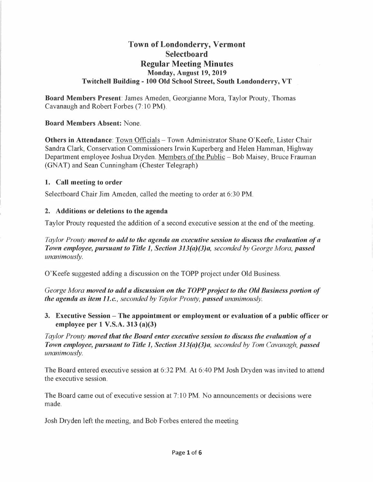# **Town of Londonderry, Vermont Selectboard Regular Meeting Minutes Monday, August 19, 2019 Twitchell Building - 100 Old School Street, South Londonderry, VT**

**Board Members Present:** James Ameden, Georgianne Mora, Taylor Prouty, Thomas Cavanaugh and Robert Forbes (7: 10 PM).

**Board Members Absent:** None.

**Others in Attendance**: Town Officials - Town Administrator Shane O'Keefe, Lister Chair Sandra Clark, Conservation Commissioners Irwin Kuperberg and Helen Hamman, Highway Department employee Joshua Dryden. Members of the Public - Bob Maisey, Bruce Frauman (GNAT) and Sean Cunningham (Chester Telegraph)

## **1. Call meeting to order**

Selectboard Chair Jim Ameden, called the meeting to order at 6:30 PM.

#### **2. Additions or deletions to the agenda**

Taylor Prouty requested the addition of a second executive session at the end of the meeting.

*Taylor Prouty moved to add to the agenda an executive session to discuss the evaluation of a Town employee, pursuant to Title 1, Section 313(a)(3)a, seconded by George Mora, passed unanimously.* 

O'Keefe suggested adding a discussion on the TOPP project under Old Business.

*George Mora moved to add a discussion on the TOPP project to the Old Business portion of the agenda as item 11.c., seconded by Taylor Prouty, passed unanimously.* 

**3. Executive Session - The appointment or employment or evaluation of a public officer or employee per 1 V.S.A. 313 (a)(3)** 

*Taylor Prouty moved that the Board enter executive session to discuss the evaluation of a Town employee, pursuant to Title 1, Section 313(a)(3)a, seconded by Tom Cavanagh, passed unanimously.* 

The Board entered executive session at 6:32 PM. At 6:40 **PM** Josh Dryden was invited to attend the executive session.

The Board came out of executive session at 7: 10 **PM.** No announcements or decisions were made.

Josh Dryden left the meeting, and Bob Forbes entered the meeting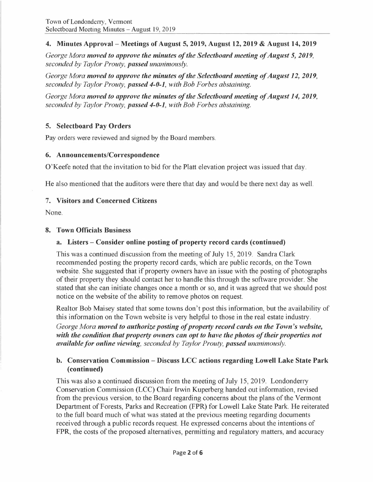# **4. Minutes Approval - Meetings of August 5, 2019, August 12, 2019** & **August 14, 2019**

*George Mora moved to approve the minutes of the Selectboard meeting of August* **5,** *2019, seconded by Taylor Prouty, passed unanimously.* 

*George Mora moved to approve the minutes of the Selectboard meeting of August 12, 2019, seconded by Taylor Prouty, passed 4-0-1, with Bob Forbes abstaining.* 

*George Mora moved to approve the minutes of the Selectboard meeting of August 14, 2019, seconded by Taylor Prouty, passed 4-0-1, with Bob Forbes abstaining.* 

# **5. Selectboard Pay Orders**

Pay orders were reviewed and signed by the Board members.

#### **6. Announcements/Correspondence**

O'Keefe noted that the invitation to bid for the Platt elevation project was issued that day.

He also mentioned that the auditors were there that day and would be there next day as well.

#### **7. Visitors and Concerned Citizens**

None.

#### **8. Town Officials Business**

## **a. Listers - Consider online posting of property record cards ( continued)**

This was a continued discussion from the meeting of July 15, 2019. Sandra Clark recommended posting the property record cards, which are public records, on the Town website. She suggested that if property owners have an issue with the posting of photographs of their property they should contact her to handle this through the software provider. She stated that she can initiate changes once a month or so, and it was agreed that we should post notice on the website of the ability to remove photos on request.

Realtor Bob Maisey stated that some towns don't post this information, but the availability of this information on the Town website is very helpful to those in the real estate industry. *George Mora moved to authorize posting of property record cards on the Town's website,*  with the condition that property owners can opt to have the photos of their properties not *available for online viewing, seconded by Taylor Prouty, passed unanimously.* 

## **b. Conservation Commission - Discuss LCC actions regarding Lowell Lake State Park ( continued)**

This was also a continued discussion from the meeting of July 15, 2019. Londonderry Conservation Commission (LCC) Chair Irwin Kuperberg handed out information, revised from the previous version, to the Board regarding concerns about the plans of the Vermont Department of Forests, Parks and Recreation (FPR) for Lowell Lake State Park. He reiterated to the full board much of what was stated at the previous meeting regarding documents received through a public records request. He expressed concerns about the intentions of FPR, the costs of the proposed alternatives, permitting and regulatory matters, and accuracy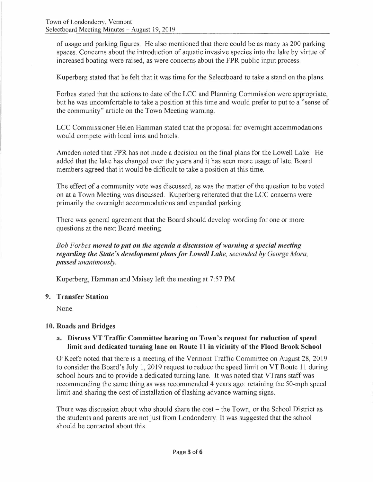of usage and parking figures. He also mentioned that there could be as many as 200 parking spaces. Concerns about the introduction of aquatic invasive species into the lake by virtue of increased boating were raised, as were concerns about the FPR public input process.

Kuperberg stated that he felt that it was time for the Selectboard to take a stand on the plans.

Forbes stated that the actions to date of the LCC and Planning Commission were appropriate, but he was uncomfortable to take a position at this time and would prefer to put to a "sense of the community" article on the Town Meeting warning.

LCC Commissioner Helen Hamman stated that the proposal for overnight accommodations would compete with local inns and hotels.

Ameden noted that FPR has not made a decision on the final plans for the Lowell Lake. He added that the lake has changed over the years and it has seen more usage of late. Board members agreed that it would be difficult to take a position at this time.

The effect of a community vote was discussed, as was the matter of the question to be voted on at a Town Meeting was discussed. Kuperberg reiterated that the LCC concerns were primarily the overnight accommodations and expanded parking.

There was general agreement that the Board should develop wording for one or more questions at the next Board meeting.

## *Bob Forbes moved to put on the agenda a discussion of warning a special meeting regarding the State's development plans for Lowell Lake, seconded by George Mora, passed unanimously.*

Kuperberg, Hamman and Maisey left the meeting at 7:57 PM

#### **9. Transfer Station**

None.

#### **10. Roads and Bridges**

#### **a. Discuss VT Traffic Committee hearing on Town's request for reduction of speed limit and dedicated turning lane on Route 11 in vicinity of the Flood Brook School**

O'Keefe noted that there is a meeting of the Vermont Traffic Committee on August 28, 2019 to consider the Board's July 1, 2019 request to reduce the speed limit on VT Route 11 during school hours and to provide a dedicated turning lane. It was noted that VTrans staff was recommending the same thing as was recommended 4 years ago: retaining the 50-mph speed limit and sharing the cost of installation of flashing advance warning signs.

There was discussion about who should share the cost  $-$  the Town, or the School District as the students and parents are not just from Londonderry. It was suggested that the school should be contacted about this.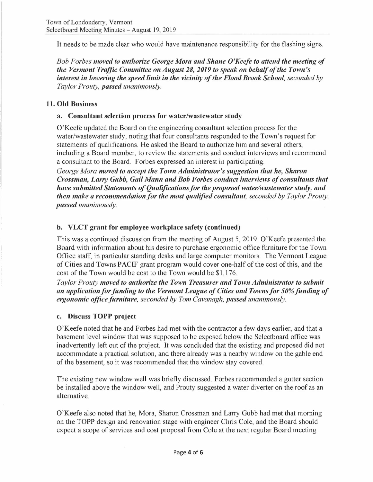It needs to be made clear who would have maintenance responsibility for the flashing signs.

*Bob Forbes moved to authorize George Mora and Shane O'Keefe to attend the meeting of the Vermont Traffic Committee on August 28, 2019 to speak on behalf of the Town's interest in lowering the speed limit in the vicinity of the Flood Brook School, seconded by Taylor Prouty, passed unanimously.* 

# **11. Old Business**

# **a. Consultant selection process for water/wastewater study**

O'Keefe updated the Board on the engineering consultant selection process for the water/wastewater study, noting that four consultants responded to the Town's request for statements of qualifications. He asked the Board to authorize him and several others, including a Board member, to review the statements and conduct interviews and recommend a consultant to the Board. Forbes expressed an interest in participating.

*George Mora moved to accept the Town Administrator's suggestion that he, Sharon Crossman, Larry Gubb, Gail Mann and Bob Forbes conduct interviews of consultants that have submitted Statements of Qualifications for the proposed water/wastewater study, and then make a recommendation for the most qualified consultant, seconded by Taylor Prouty, passed unanimously.* 

# **b. VLCT grant for employee workplace safety (continued)**

This was a continued discussion from the meeting of August 5, 2019. O'Keefe presented the Board with information about his desire to purchase ergonomic office furniture for the Town Office staff, in particular standing desks and large computer monitors. The Vermont League of Cities and Towns PACIF grant program would cover one-half of the cost of this, and the cost of the Town would be cost to the Town would be \$1,176.

*Taylor Prouty moved to authorize the Town Treasurer and Town Administrator to submit an application for funding to the Vermont League of Cities and Towns for 50% funding of ergonomic office furniture, seconded by Tom Cavanagh, passed unanimously.* 

# **c. Discuss TOPP project**

O'Keefe noted that he and Forbes had met with the contractor a few days earlier, and that a basement level window that was supposed to be exposed below the Selectboard office was inadvertently left out of the project. It was concluded that the existing and proposed did not accommodate a practical solution, and there already was a nearby window on the gable end of the basement, so it was recommended that the window stay covered.

The existing new window well was briefly discussed. Forbes recommended a gutter section be installed above the window well, and Prouty suggested a water diverter on the roof as an alternative.

O'Keefe also noted that he, Mora, Sharon Crossman and Larry Gubb had met that morning on the TOPP design and renovation stage with engineer Chris Cole, and the Board should expect a scope of services and cost proposal from Cole at the next regular Board meeting.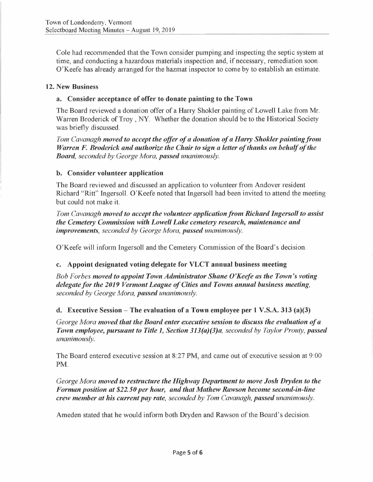Cole had recommended that the Town consider pumping and inspecting the septic system at time, and conducting a hazardous materials inspection and, if necessary, remediation soon. O'Keefe has already arranged for the hazmat inspector to come by to establish an estimate.

## **12. New Business**

#### **a.** Consider acceptance of offer to donate painting to the Town

The Board reviewed a donation offer of a Harry Shokler painting of Lowell Lake from Mr. Warren Broderick of Troy, NY. Whether the donation should be to the Historical Society was briefly discussed.

*Tom Cavanagh moved to accept the offer of a donation of a Harry Shokler painting from Warren F. Broderick and authorize the Chair to sign a letter of thanks on behalf of the Board, seconded by George Mora, passed unanimously.* 

#### **b. Consider volunteer application**

The Board reviewed and discussed an application to volunteer from Andover resident Richard "Ritt" Ingersoll. O'Keefe noted that Ingersoll had been invited to attend the meeting but could not make it.

*Tom Cavanagh moved to accept the volunteer application from Richard Ingersoll to assist the Cemetery Commission with Lowell Lake cemetery research, maintenance and improvements, seconded by George Mora, passed unanimously.* 

O'Keefe will inform Ingersoll and the Cemetery Commission of the Board's decision.

## **c. Appoint designated voting delegate for VLCT annual business meeting**

*Bob Forbes moved to appoint Town Administrator Shane O'Keefe as the Town's voting delegate for the 2019 Vermont League of Cities and Towns annual business meeting, seconded by George Mora, passed unanimously.* 

## **d. Executive Session - The evaluation of a Town employee per 1 V.S.A. 313 (a)(3)**

*George Mora moved that the Board enter executive session to discuss the evaluation of a Town employee, pursuant to Title 1, Section 313(a)(3)a, seconded by Taylor Prouty, passed unanimously.* 

The Board entered executive session at 8:27 PM, and came out of executive session at 9:00 PM.

*George Mora moved to restructure the Highway Department to move Josh Dryden to the Forman position at \$22.50 per hour, and that Mathew Rawson become second-in-line crew member at his current pay rate, seconded by Tom Cavanagh, passed unanimously.* 

Ameden stated that he would inform both Dryden and Rawson of the Board's decision.